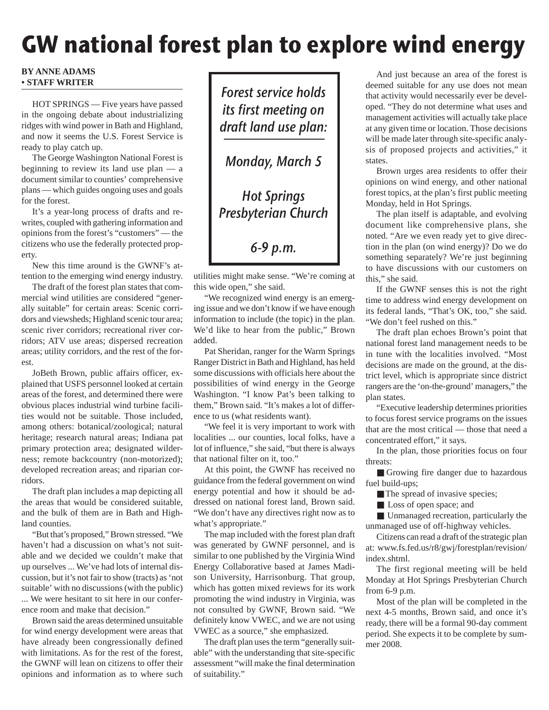## **GW national forest plan to explore wind energy**

## **BY ANNE ADAMS • STAFF WRITER**

HOT SPRINGS — Five years have passed in the ongoing debate about industrializing ridges with wind power in Bath and Highland, and now it seems the U.S. Forest Service is ready to play catch up.

The George Washington National Forest is beginning to review its land use plan — a document similar to counties' comprehensive plans — which guides ongoing uses and goals for the forest.

It's a year-long process of drafts and rewrites, coupled with gathering information and opinions from the forest's "customers" — the citizens who use the federally protected property.

New this time around is the GWNF's attention to the emerging wind energy industry.

The draft of the forest plan states that commercial wind utilities are considered "generally suitable" for certain areas: Scenic corridors and viewsheds; Highland scenic tour area; scenic river corridors; recreational river corridors; ATV use areas; dispersed recreation areas; utility corridors, and the rest of the forest.

JoBeth Brown, public affairs officer, explained that USFS personnel looked at certain areas of the forest, and determined there were obvious places industrial wind turbine facilities would not be suitable. Those included, among others: botanical/zoological; natural heritage; research natural areas; Indiana pat primary protection area; designated wilderness; remote backcountry (non-motorized); developed recreation areas; and riparian corridors.

The draft plan includes a map depicting all the areas that would be considered suitable, and the bulk of them are in Bath and Highland counties.

"But that's proposed," Brown stressed. "We haven't had a discussion on what's not suitable and we decided we couldn't make that up ourselves ... We've had lots of internal discussion, but it's not fair to show (tracts) as 'not suitable' with no discussions (with the public) ... We were hesitant to sit here in our conference room and make that decision."

Brown said the areas determined unsuitable for wind energy development were areas that have already been congressionally defined with limitations. As for the rest of the forest, the GWNF will lean on citizens to offer their opinions and information as to where such

Forest service holds its first meeting on draft land use plan: Monday, March 5 Hot Springs Presbyterian Church

6-9 p.m.

utilities might make sense. "We're coming at this wide open," she said.

"We recognized wind energy is an emerging issue and we don't know if we have enough information to include (the topic) in the plan. We'd like to hear from the public," Brown added.

Pat Sheridan, ranger for the Warm Springs Ranger District in Bath and Highland, has held some discussions with officials here about the possibilities of wind energy in the George Washington. "I know Pat's been talking to them," Brown said. "It's makes a lot of difference to us (what residents want).

"We feel it is very important to work with localities ... our counties, local folks, have a lot of influence," she said, "but there is always that national filter on it, too."

At this point, the GWNF has received no guidance from the federal government on wind energy potential and how it should be addressed on national forest land, Brown said. "We don't have any directives right now as to what's appropriate."

The map included with the forest plan draft was generated by GWNF personnel, and is similar to one published by the Virginia Wind Energy Collaborative based at James Madison University, Harrisonburg. That group, which has gotten mixed reviews for its work promoting the wind industry in Virginia, was not consulted by GWNF, Brown said. "We definitely know VWEC, and we are not using VWEC as a source," she emphasized.

The draft plan uses the term "generally suitable" with the understanding that site-specific assessment "will make the final determination of suitability."

And just because an area of the forest is deemed suitable for any use does not mean that activity would necessarily ever be developed. "They do not determine what uses and management activities will actually take place at any given time or location. Those decisions will be made later through site-specific analysis of proposed projects and activities," it states.

Brown urges area residents to offer their opinions on wind energy, and other national forest topics, at the plan's first public meeting Monday, held in Hot Springs.

The plan itself is adaptable, and evolving document like comprehensive plans, she noted. "Are we even ready yet to give direction in the plan (on wind energy)? Do we do something separately? We're just beginning to have discussions with our customers on this," she said.

If the GWNF senses this is not the right time to address wind energy development on its federal lands, "That's OK, too," she said. "We don't feel rushed on this."

The draft plan echoes Brown's point that national forest land management needs to be in tune with the localities involved. "Most decisions are made on the ground, at the district level, which is appropriate since district rangers are the 'on-the-ground' managers," the plan states.

"Executive leadership determines priorities to focus forest service programs on the issues that are the most critical — those that need a concentrated effort," it says.

In the plan, those priorities focus on four threats:

■ Growing fire danger due to hazardous fuel build-ups;

■ The spread of invasive species;

■ Loss of open space; and

■ Unmanaged recreation, particularly the unmanaged use of off-highway vehicles.

Citizens can read a draft of the strategic plan at: www.fs.fed.us/r8/gwj/forestplan/revision/ index.shtml.

The first regional meeting will be held Monday at Hot Springs Presbyterian Church from 6-9 p.m.

Most of the plan will be completed in the next 4-5 months, Brown said, and once it's ready, there will be a formal 90-day comment period. She expects it to be complete by summer 2008.